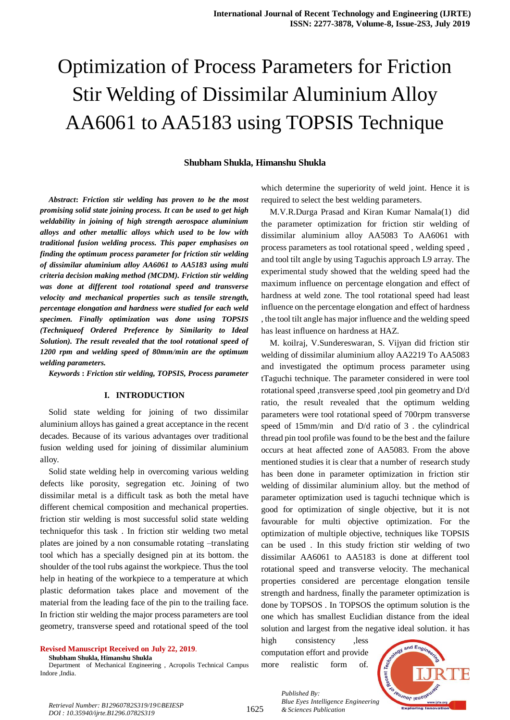# Optimization of Process Parameters for Friction Stir Welding of Dissimilar Aluminium Alloy AA6061 to AA5183 using TOPSIS Technique

#### **Shubham Shukla, Himanshu Shukla**

*Abstract***:** *Friction stir welding has proven to be the most promising solid state joining process. It can be used to get high weldability in joining of high strength aerospace aluminium alloys and other metallic alloys which used to be low with traditional fusion welding process. This paper emphasises on finding the optimum process parameter for friction stir welding of dissimilar aluminium alloy AA6061 to AA5183 using multi criteria decision making method (MCDM). Friction stir welding was done at different tool rotational speed and transverse velocity and mechanical properties such as tensile strength, percentage elongation and hardness were studied for each weld specimen. Finally optimization was done using TOPSIS (Techniqueof Ordered Preference by Similarity to Ideal Solution). The result revealed that the tool rotational speed of 1200 rpm and welding speed of 80mm/min are the optimum welding parameters.*

*Keywords* **:** *Friction stir welding, TOPSIS, Process parameter*

#### **I. INTRODUCTION**

Solid state welding for joining of two dissimilar aluminium alloys has gained a great acceptance in the recent decades. Because of its various advantages over traditional fusion welding used for joining of dissimilar aluminium alloy.

Solid state welding help in overcoming various welding defects like porosity, segregation etc. Joining of two dissimilar metal is a difficult task as both the metal have different chemical composition and mechanical properties. friction stir welding is most successful solid state welding techniquefor this task . In friction stir welding two metal plates are joined by a non consumable rotating –translating tool which has a specially designed pin at its bottom. the shoulder of the tool rubs against the workpiece. Thus the tool help in heating of the workpiece to a temperature at which plastic deformation takes place and movement of the material from the leading face of the pin to the trailing face. In friction stir welding the major process parameters are tool geometry, transverse speed and rotational speed of the tool

## **Revised Manuscript Received on July 22, 2019**.

**Shubham Shukla, Himanshu Shukla**

Department of Mechanical Engineering , Acropolis Technical Campus Indore ,India.

which determine the superiority of weld joint. Hence it is required to select the best welding parameters.

M.V.R.Durga Prasad and Kiran Kumar Namala(1) did the parameter optimization for friction stir welding of dissimilar aluminium alloy AA5083 To AA6061 with process parameters as tool rotational speed , welding speed , and tool tilt angle by using Taguchis approach L9 array. The experimental study showed that the welding speed had the maximum influence on percentage elongation and effect of hardness at weld zone. The tool rotational speed had least influence on the percentage elongation and effect of hardness , the tool tilt angle has major influence and the welding speed has least influence on hardness at HAZ.

M. koilraj, V.Sundereswaran, S. Vijyan did friction stir welding of dissimilar aluminium alloy AA2219 To AA5083 and investigated the optimum process parameter using tTaguchi technique. The parameter considered in were tool rotational speed ,transverse speed ,tool pin geometry and D/d ratio, the result revealed that the optimum welding parameters were tool rotational speed of 700rpm transverse speed of 15mm/min and D/d ratio of 3 . the cylindrical thread pin tool profile was found to be the best and the failure occurs at heat affected zone of AA5083. From the above mentioned studies it is clear that a number of research study has been done in parameter optimization in friction stir welding of dissimilar aluminium alloy. but the method of parameter optimization used is taguchi technique which is good for optimization of single objective, but it is not favourable for multi objective optimization. For the optimization of multiple objective, techniques like TOPSIS can be used . In this study friction stir welding of two dissimilar AA6061 to AA5183 is done at different tool rotational speed and transverse velocity. The mechanical properties considered are percentage elongation tensile strength and hardness, finally the parameter optimization is done by TOPSOS . In TOPSOS the optimum solution is the one which has smallest Euclidian distance from the ideal solution and largest from the negative ideal solution. it has

high consistency ,less computation effort and provide more realistic form of.



*Blue Eyes Intelligence*<br>Retrieval Number: B12960782S319/19©BEIESP<br>1625 *& Sciences Publication DOI : 10.35940/ijrte.B1296.0782S319*

*Published By: Blue Eyes Intelligence Engineering*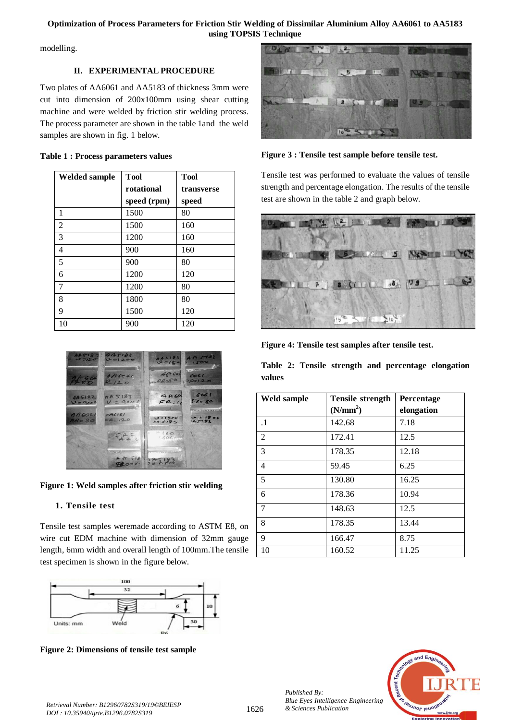## **Optimization of Process Parameters for Friction Stir Welding of Dissimilar Aluminium Alloy AA6061 to AA5183 using TOPSIS Technique**

modelling.

# **II. EXPERIMENTAL PROCEDURE**

Two plates of AA6061 and AA5183 of thickness 3mm were cut into dimension of 200x100mm using shear cutting machine and were welded by friction stir welding process. The process parameter are shown in the table 1and the weld samples are shown in fig. 1 below.

# **Table 1 : Process parameters values**

| <b>Welded sample</b> | <b>Tool</b> | <b>Tool</b> |
|----------------------|-------------|-------------|
|                      | rotational  | transverse  |
|                      | speed (rpm) | speed       |
| 1                    | 1500        | 80          |
| $\overline{2}$       | 1500        | 160         |
| 3                    | 1200        | 160         |
| $\overline{4}$       | 900         | 160         |
| 5                    | 900         | 80          |
| 6                    | 1200        | 120         |
| 7                    | 1200        | 80          |
| 8                    | 1800        | 80          |
| 9                    | 1500        | 120         |
| 10                   | 900         | 120         |



**Figure 1: Weld samples after friction stir welding**

# **1. Tensile test**

Tensile test samples weremade according to ASTM E8, on wire cut EDM machine with dimension of 32mm gauge length, 6mm width and overall length of 100mm.The tensile test specimen is shown in the figure below.



**Figure 2: Dimensions of tensile test sample**



**Figure 3 : Tensile test sample before tensile test.**

Tensile test was performed to evaluate the values of tensile strength and percentage elongation. The results of the tensile test are shown in the table 2 and graph below.



**Figure 4: Tensile test samples after tensile test.**

**Table 2: Tensile strength and percentage elongation values**

| <b>Weld sample</b> | <b>Tensile strength</b> | Percentage |
|--------------------|-------------------------|------------|
|                    | (N/mm <sup>2</sup> )    | elongation |
| $\cdot$ 1          | 142.68                  | 7.18       |
| $\overline{2}$     | 172.41                  | 12.5       |
| 3                  | 178.35                  | 12.18      |
| $\overline{4}$     | 59.45                   | 6.25       |
| 5                  | 130.80                  | 16.25      |
| 6                  | 178.36                  | 10.94      |
| 7                  | 148.63                  | 12.5       |
| 8                  | 178.35                  | 13.44      |
| 9                  | 166.47                  | 8.75       |
| 10                 | 160.52                  | 11.25      |

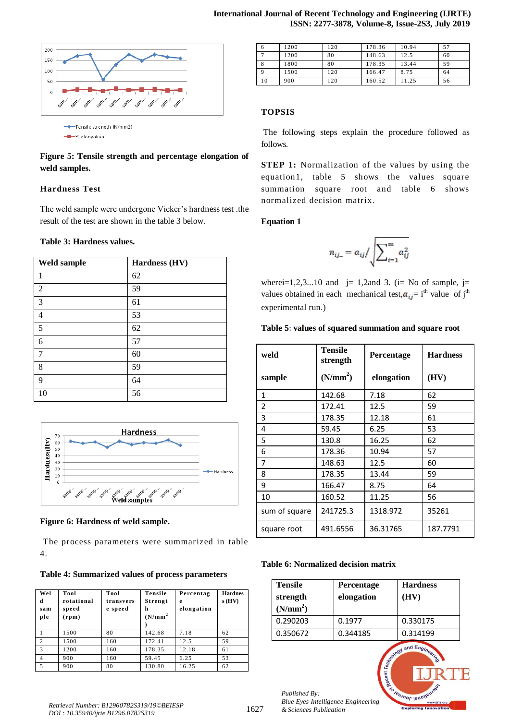

# **Figure 5: Tensile strength and percentage elongation of weld samples.**

## **Hardness Test**

The weld sample were undergone Vicker's hardness test .the result of the test are shown in the table 3 below.

#### **Table 3: Hardness values.**

| <b>Weld sample</b> | Hardness (HV) |
|--------------------|---------------|
| $\mathbf{1}$       | 62            |
| $\overline{2}$     | 59            |
| $\overline{3}$     | 61            |
| $\overline{4}$     | 53            |
| 5                  | 62            |
| 6                  | 57            |
| 7                  | 60            |
| 8                  | 59            |
| 9                  | 64            |
| 10                 | 56            |



**Figure 6: Hardness of weld sample.**

The process parameters were summarized in table 4.

## **Table 4: Summarized values of process parameters**

| Wel<br>d<br>sam<br>ple | Tool<br>rotational<br>speed<br>(rpm) | Tool<br>transvers<br>e speed | Tensile<br>Strengt<br>h<br>(N/mm <sup>2</sup> ) | Percentag<br>e<br>elongation | <b>Hardnes</b><br>s(HV) |
|------------------------|--------------------------------------|------------------------------|-------------------------------------------------|------------------------------|-------------------------|
|                        | 1500                                 | 80                           | 142.68                                          | 7.18                         | 62                      |
| $\overline{c}$         | 1500                                 | 160                          | 172.41                                          | 12.5                         | 59                      |
| 3                      | 1200                                 | 160                          | 178.35                                          | 12.18                        | 61                      |
| 4                      | 900                                  | 160                          | 59.45                                           | 6.25                         | 53                      |
| 5                      | 900                                  | 80                           | 130.80                                          | 16.25                        | 62                      |

| 6  | 1200 | 120 | 178.36 | 10.94 | 57 |
|----|------|-----|--------|-------|----|
|    | 1200 | 80  | 148.63 | 12.5  | 60 |
| 8  | 1800 | 80  | 178.35 | 13.44 | 59 |
|    | 1500 | 120 | 166.47 | 8.75  | 64 |
| 10 | 900  | 120 | 160.52 | 11.25 | 56 |

# **TOPSIS**

The following steps explain the procedure followed as follows*.*

**STEP 1:** Normalization of the values by using the equation1, table 5 shows the values square summation square root and table 6 shows normalized decision matrix.

## **Equation 1**

$$
n_{ij} = a_{ij} / \sqrt{\sum_{i=1}^{m} a_{ij}^2}
$$

wherei $=1,2,3...10$  and j= 1,2and 3. (i= No of sample, j= values obtained in each mechanical test,  $a_{ij} = i^{th}$  value of j<sup>th</sup> experimental run.)

#### **Table 5: values of squared summation and square root**

| weld          | Tensile<br>strength  | Percentage | <b>Hardness</b> |
|---------------|----------------------|------------|-----------------|
| sample        | (N/mm <sup>2</sup> ) | elongation | (HV)            |
| 1             | 142.68               | 7.18       | 62              |
| 2             | 172.41               | 12.5       | 59              |
| 3             | 178.35               | 12.18      | 61              |
| 4             | 59.45                | 6.25       | 53              |
| 5             | 130.8                | 16.25      | 62              |
| 6             | 178.36               | 10.94      | 57              |
| 7             | 148.63               | 12.5       | 60              |
| 8             | 178.35               | 13.44      | 59              |
| 9             | 166.47               | 8.75       | 64              |
| 10            | 160.52               | 11.25      | 56              |
| sum of square | 241725.3             | 1318.972   | 35261           |
| square root   | 491.6556             | 36.31765   | 187.7791        |

#### **Table 6: Normalized decision matrix**

| <b>Tensile</b><br>strength<br>(N/mm <sup>2</sup> ) | Percentage<br>elongation | <b>Hardness</b><br>(HV) |
|----------------------------------------------------|--------------------------|-------------------------|
| 0.290203                                           | 0.1977                   | 0.330175                |
| 0.350672                                           | 0.344185                 | 0.314199                |

**Jeusnor lenor** 

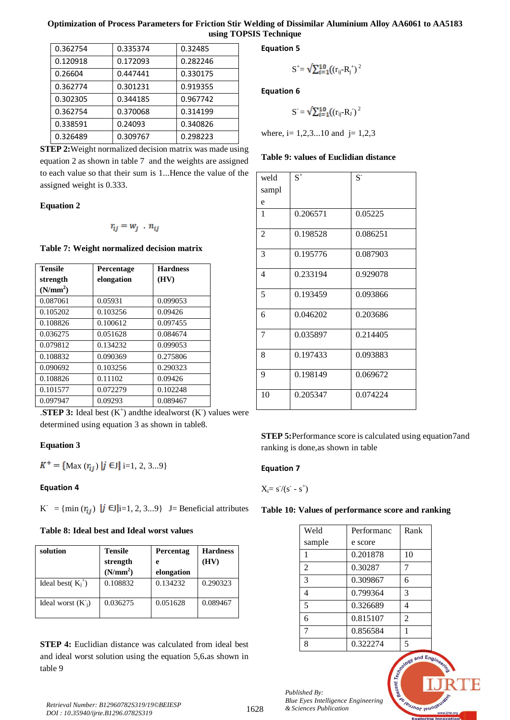## **Optimization of Process Parameters for Friction Stir Welding of Dissimilar Aluminium Alloy AA6061 to AA5183 using TOPSIS Technique**

| 0.362754 | 0.335374 | 0.32485  |
|----------|----------|----------|
| 0.120918 | 0.172093 | 0.282246 |
| 0.26604  | 0.447441 | 0.330175 |
| 0.362774 | 0.301231 | 0.919355 |
| 0.302305 | 0.344185 | 0.967742 |
| 0.362754 | 0.370068 | 0.314199 |
| 0.338591 | 0.24093  | 0.340826 |
| 0.326489 | 0.309767 | 0.298223 |

**Equation 5**

$$
S^+ = \sqrt{\sum_{i=1}^{10} ((r_{ij} - R_j^+)^2}
$$

**Equation 6**

$$
S = \sqrt{\sum_{i=1}^{10} ((r_{ij} - R_{J})^2}
$$

where, i=  $1,2,3...10$  and j=  $1,2,3$ 

#### **Table 9: values of Euclidian distance**

**STEP 2:**Weight normalized decision matrix was made using equation 2 as shown in table 7 and the weights are assigned to each value so that their sum is 1...Hence the value of the assigned weight is 0.333.

#### **Equation 2**

$$
r_{ij} = w_j \cdot n_{ij}
$$

#### **Table 7: Weight normalized decision matrix**

| <b>Tensile</b>       | Percentage | <b>Hardness</b> |
|----------------------|------------|-----------------|
| strength             | elongation | (HV)            |
| (N/mm <sup>2</sup> ) |            |                 |
| 0.087061             | 0.05931    | 0.099053        |
| 0.105202             | 0.103256   | 0.09426         |
| 0.108826             | 0.100612   | 0.097455        |
| 0.036275             | 0.051628   | 0.084674        |
| 0.079812             | 0.134232   | 0.099053        |
| 0.108832             | 0.090369   | 0.275806        |
| 0.090692             | 0.103256   | 0.290323        |
| 0.108826             | 0.11102    | 0.09426         |
| 0.101577             | 0.072279   | 0.102248        |
| 0.097947             | 0.09293    | 0.089467        |

**.STEP 3:** Ideal best  $(K^+)$  and the idealworst  $(K^-)$  values were determined using equation 3 as shown in table8.

#### **Equation 3**

$$
K^+ = \{ \text{Max } (r_{ij}) \mid j \in J \mid i = 1, 2, 3...9 \}
$$

## **Equation 4**

 $K^{\dagger} = \{\min(r_{ij}) \mid j \in J\}$  = 1, 2, 3...9} J= Beneficial attributes

## **Table 8: Ideal best and Ideal worst values**

| solution              | <b>Tensile</b><br>strength | Percentag<br>e | <b>Hardness</b><br>(HV) |
|-----------------------|----------------------------|----------------|-------------------------|
|                       | (N/mm <sup>2</sup> )       | elongation     |                         |
| Ideal best( $K_i^+$ ) | 0.108832                   | 0.134232       | 0.290323                |
| Ideal worst $(K_i)$   | 0.036275                   | 0.051628       | 0.089467                |

**STEP 4:** Euclidian distance was calculated from ideal best and ideal worst solution using the equation 5,6**.**as shown in table 9

| weld           | $\mbox{S}^+$ | $S-$     |
|----------------|--------------|----------|
| sampl          |              |          |
| e              |              |          |
| 1              | 0.206571     | 0.05225  |
| $\overline{2}$ | 0.198528     | 0.086251 |
| 3              | 0.195776     | 0.087903 |
| 4              | 0.233194     | 0.929078 |
| 5              | 0.193459     | 0.093866 |
| 6              | 0.046202     | 0.203686 |
| 7              | 0.035897     | 0.214405 |
| 8              | 0.197433     | 0.093883 |
| 9              | 0.198149     | 0.069672 |
| 10             | 0.205347     | 0.074224 |

**STEP 5:**Performance score is calculated using equation7and ranking is done,as shown in table

## **Equation 7**

$$
X_i\!\!=s^{\!\!\!\!\phantom{a}^\!\!}/(s^{\!\!\!\!\phantom{a}^\!\!} - s^{\!\!\!\!\phantom{a}^\!\!})
$$

#### **Table 10: Values of performance score and ranking**

| Weld           | Performanc | Rank           |
|----------------|------------|----------------|
| sample         | e score    |                |
| 1              | 0.201878   | 10             |
| $\overline{2}$ | 0.30287    | 7              |
| 3              | 0.309867   | 6              |
| $\overline{4}$ | 0.799364   | 3              |
| 5              | 0.326689   | 4              |
| 6              | 0.815107   | $\overline{2}$ |
| 7              | 0.856584   | 1              |
| 8              | 0.322274   | 5              |

**Leusnor lenois** 

*Published By: Blue Eyes Intelligence Engineering*